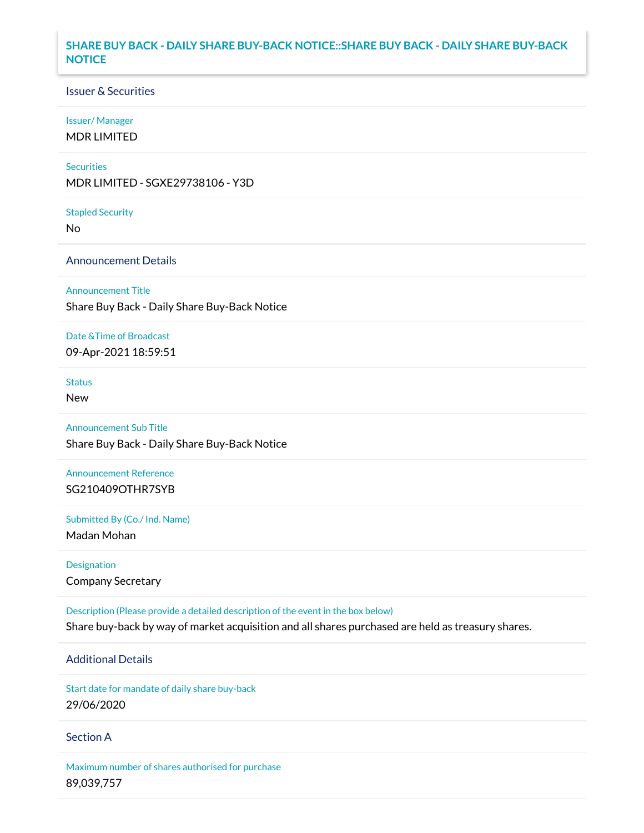### **SHARE BUY BACK - DAILY SHARE BUY-BACK NOTICE::SHARE BUY BACK - DAILY SHARE BUY-BACK NOTICE**

### Issuer & Securities

#### Issuer/ Manager

MDR LIMITED

#### **Securities**

MDR LIMITED - SGXE29738106 - Y3D

#### Stapled Security

No

### Announcement Details

#### Announcement Title

Share Buy Back - Daily Share Buy-Back Notice

#### Date &Time of Broadcast

09-Apr-2021 18:59:51

# **Status**

New

### Announcement Sub Title

Share Buy Back - Daily Share Buy-Back Notice

# Announcement Reference SG210409OTHR7SYB

Submitted By (Co./ Ind. Name)

Madan Mohan

## Designation Company Secretary

Description (Please provide a detailed description of the event in the box below) Share buy-back by way of market acquisition and all shares purchased are held as treasury shares.

# Additional Details

Start date for mandate of daily share buy-back 29/06/2020

### Section A

Maximum number of shares authorised for purchase 89,039,757